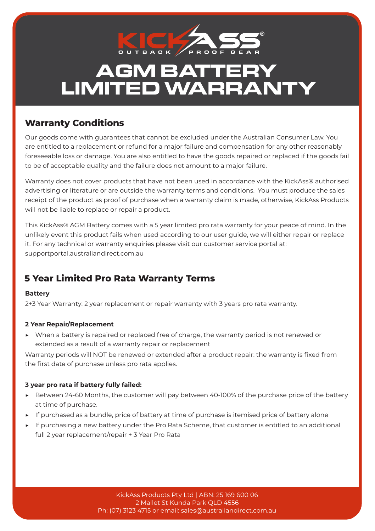

# **AGM BATTERY LIMITED WARRANTY**

# **Warranty Conditions**

Our goods come with guarantees that cannot be excluded under the Australian Consumer Law. You are entitled to a replacement or refund for a major failure and compensation for any other reasonably foreseeable loss or damage. You are also entitled to have the goods repaired or replaced if the goods fail to be of acceptable quality and the failure does not amount to a major failure.

Warranty does not cover products that have not been used in accordance with the KickAss® authorised advertising or literature or are outside the warranty terms and conditions. You must produce the sales receipt of the product as proof of purchase when a warranty claim is made, otherwise, KickAss Products will not be liable to replace or repair a product.

This KickAss® AGM Battery comes with a 5 year limited pro rata warranty for your peace of mind. In the unlikely event this product fails when used according to our user guide, we will either repair or replace it. For any technical or warranty enquiries please visit our customer service portal at: supportportal.australiandirect.com.au

# **5 Year Limited Pro Rata Warranty Terms**

#### **Battery**

2+3 Year Warranty: 2 year replacement or repair warranty with 3 years pro rata warranty.

#### **2 Year Repair/Replacement**

▶ When a battery is repaired or replaced free of charge, the warranty period is not renewed or extended as a result of a warranty repair or replacement

Warranty periods will NOT be renewed or extended after a product repair: the warranty is fixed from the first date of purchase unless pro rata applies.

#### **3 year pro rata if battery fully failed:**

- ▶ Between 24-60 Months, the customer will pay between 40-100% of the purchase price of the battery at time of purchase.
- ▶ If purchased as a bundle, price of battery at time of purchase is itemised price of battery alone
- ▶ If purchasing a new battery under the Pro Rata Scheme, that customer is entitled to an additional full 2 year replacement/repair + 3 Year Pro Rata